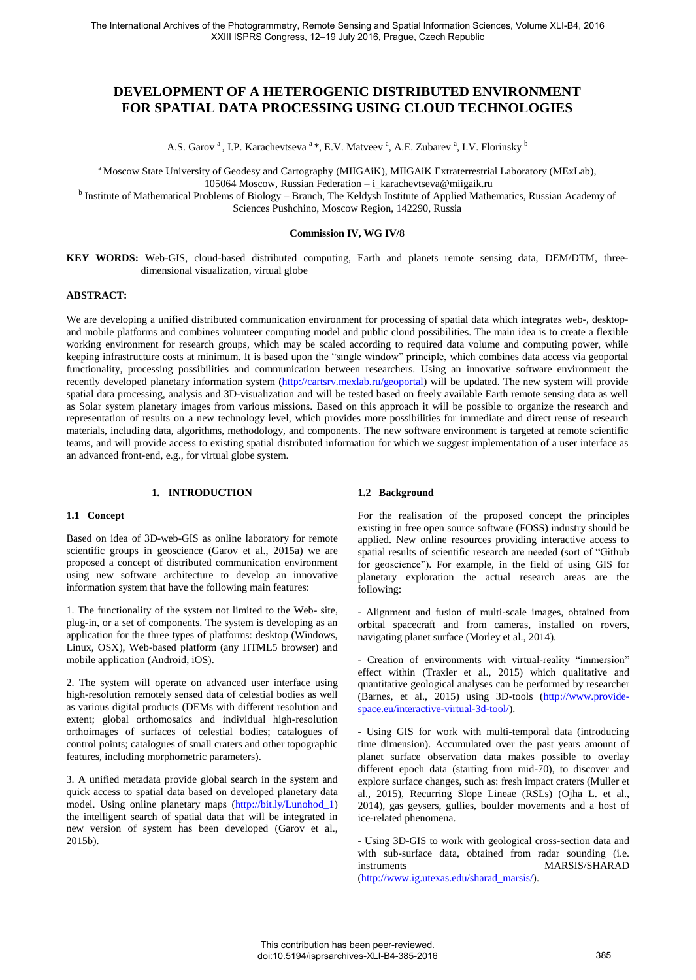# **DEVELOPMENT OF A HETEROGENIC DISTRIBUTED ENVIRONMENT FOR SPATIAL DATA PROCESSING USING CLOUD TECHNOLOGIES**

A.S. Garov<sup>a</sup>, I.P. Karachevtseva<sup>a</sup>\*, E.V. Matveev<sup>a</sup>, A.E. Zubarev<sup>a</sup>, I.V. Florinsky<sup>b</sup>

<sup>a</sup> Moscow State University of Geodesy and Cartography (MIIGAiK), MIIGAiK Extraterrestrial Laboratory (MExLab),

105064 Moscow, Russian Federation – i\_karachevtseva@miigaik.ru

<sup>b</sup> Institute of Mathematical Problems of Biology – Branch, The Keldysh Institute of Applied Mathematics, Russian Academy of Sciences Pushchino, Moscow Region, 142290, Russia

#### **Commission IV, WG IV/8**

**KEY WORDS:** Web-GIS, cloud-based distributed computing, Earth and planets remote sensing data, DEM/DTM, threedimensional visualization, virtual globe

#### **ABSTRACT:**

We are developing a unified distributed communication environment for processing of spatial data which integrates web-, desktopand mobile platforms and combines volunteer computing model and public cloud possibilities. The main idea is to create a flexible working environment for research groups, which may be scaled according to required data volume and computing power, while keeping infrastructure costs at minimum. It is based upon the "single window" principle, which combines data access via geoportal functionality, processing possibilities and communication between researchers. Using an innovative software environment the recently developed planetary information system [\(http://cartsrv.mexlab.ru/geoportal\)](http://cartsrv.mexlab.ru/geoportal) will be updated. The new system will provide spatial data processing, analysis and 3D-visualization and will be tested based on freely available Earth remote sensing data as well as Solar system planetary images from various missions. Based on this approach it will be possible to organize the research and representation of results on a new technology level, which provides more possibilities for immediate and direct reuse of research materials, including data, algorithms, methodology, and components. The new software environment is targeted at remote scientific teams, and will provide access to existing spatial distributed information for which we suggest implementation of a user interface as an advanced front-end, e.g., for virtual globe system.

## **1. INTRODUCTION**

## **1.1 Concept**

Based on idea of 3D-web-GIS as online laboratory for remote scientific groups in geoscience (Garov et al., 2015a) we are proposed a concept of distributed communication environment using new software architecture to develop an innovative information system that have the following main features:

1. The functionality of the system not limited to the Web- site, plug-in, or a set of components. The system is developing as an application for the three types of platforms: desktop (Windows, Linux, OSX), Web-based platform (any HTML5 browser) and mobile application (Android, iOS).

2. The system will operate on advanced user interface using high-resolution remotely sensed data of celestial bodies as well as various digital products (DEMs with different resolution and extent; global orthomosaics and individual high-resolution orthoimages of surfaces of celestial bodies; catalogues of control points; catalogues of small craters and other topographic features, including morphometric parameters).

3. A unified metadata provide global search in the system and quick access to spatial data based on developed planetary data model. Using online planetary maps [\(http://bit.ly/Lunohod\\_1\)](http://bit.ly/Lunohod_1) the intelligent search of spatial data that will be integrated in new version of system has been developed (Garov et al., 2015b).

#### **1.2 Background**

For the realisation of the proposed concept the principles existing in free open source software (FOSS) industry should be applied. New online resources providing interactive access to spatial results of scientific research are needed (sort of "Github for geoscience"). For example, in the field of using GIS for planetary exploration the actual research areas are the following:

- Alignment and fusion of multi-scale images, obtained from orbital spacecraft and from cameras, installed on rovers, navigating planet surface (Morley et al., 2014).

- Creation of environments with virtual-reality "immersion" effect within (Traxler et al., 2015) which qualitative and quantitative geological analyses can be performed by researcher (Barnes, et al., 2015) using 3D-tools [\(http://www.provide](http://www.provide-space.eu/interactive-virtual-3d-tool/)[space.eu/interactive-virtual-3d-tool/\)](http://www.provide-space.eu/interactive-virtual-3d-tool/).

- Using GIS for work with multi-temporal data (introducing time dimension). Accumulated over the past years amount of planet surface observation data makes possible to overlay different epoch data (starting from mid-70), to discover and explore surface changes, such as: fresh impact craters (Muller et al., 2015), Recurring Slope Lineae (RSLs) (Ojha L. et al., 2014), gas geysers, gullies, boulder movements and a host of ice-related phenomena.

- Using 3D-GIS to work with geological cross-section data and with sub-surface data, obtained from radar sounding (i.e. instruments MARSIS/SHARAD [\(http://www.ig.utexas.edu/sharad\\_marsis/\)](http://www.ig.utexas.edu/sharad_marsis/).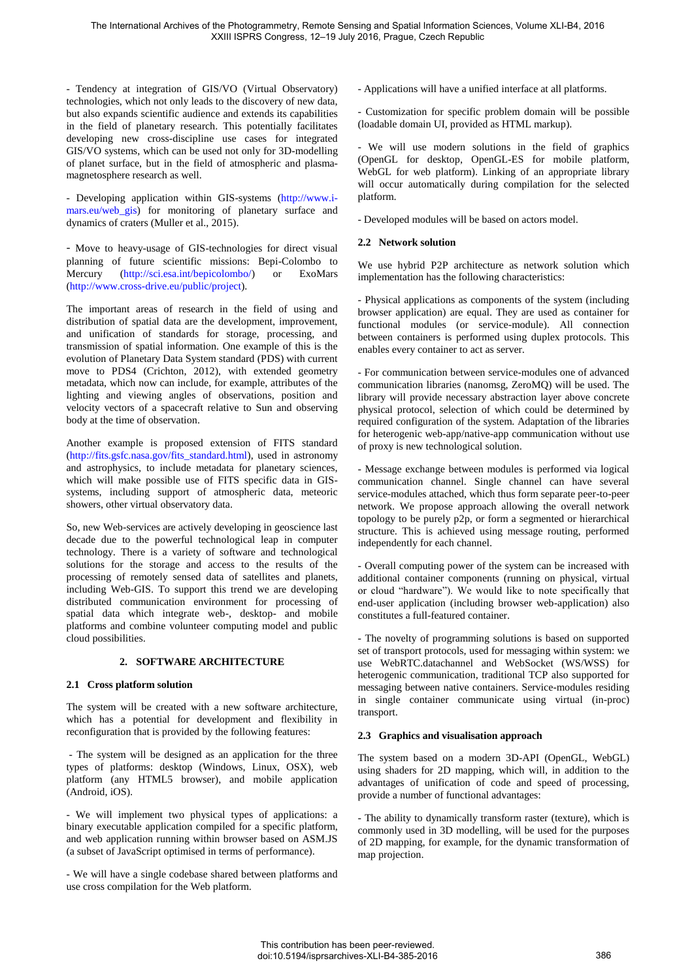- Tendency at integration of GIS/VO (Virtual Observatory) technologies, which not only leads to the discovery of new data, but also expands scientific audience and extends its capabilities in the field of planetary research. This potentially facilitates developing new cross-discipline use cases for integrated GIS/VO systems, which can be used not only for 3D-modelling of planet surface, but in the field of atmospheric and plasmamagnetosphere research as well.

- Developing application within GIS-systems [\(http://www.i](http://www.i-mars.eu/web_gis)[mars.eu/web\\_gis\)](http://www.i-mars.eu/web_gis) for monitoring of planetary surface and dynamics of craters (Muller et al., 2015).

- Move to heavy-usage of GIS-technologies for direct visual planning of future scientific missions: Bepi-Colombo to Mercury (http://sci.esa.int/bepicolombo/) or ExoMars [\(http://www.cross-drive.eu/public/project\)](http://www.cross-drive.eu/public/project).

The important areas of research in the field of using and distribution of spatial data are the development, improvement, and unification of standards for storage, processing, and transmission of spatial information. One example of this is the evolution of Planetary Data System standard (PDS) with current move to PDS4 (Crichton, 2012), with extended geometry metadata, which now can include, for example, attributes of the lighting and viewing angles of observations, position and velocity vectors of a spacecraft relative to Sun and observing body at the time of observation.

Another example is proposed extension of FITS standard [\(http://fits.gsfc.nasa.gov/fits\\_standard.html\)](http://fits.gsfc.nasa.gov/fits_standard.html), used in astronomy and astrophysics, to include metadata for planetary sciences, which will make possible use of FITS specific data in GISsystems, including support of atmospheric data, meteoric showers, other virtual observatory data.

So, new Web-services are actively developing in geoscience last decade due to the powerful technological leap in computer technology. There is a variety of software and technological solutions for the storage and access to the results of the processing of remotely sensed data of satellites and planets, including Web-GIS. To support this trend we are developing distributed communication environment for processing of spatial data which integrate web-, desktop- and mobile platforms and combine volunteer computing model and public cloud possibilities.

## **2. SOFTWARE ARCHITECTURE**

## **2.1 Cross platform solution**

The system will be created with a new software architecture, which has a potential for development and flexibility in reconfiguration that is provided by the following features:

 - The system will be designed as an application for the three types of platforms: desktop (Windows, Linux, OSX), web platform (any HTML5 browser), and mobile application (Android, iOS).

- We will implement two physical types of applications: a binary executable application compiled for a specific platform, and web application running within browser based on ASM.JS (a subset of JavaScript optimised in terms of performance).

- We will have a single codebase shared between platforms and use cross compilation for the Web platform.

- Applications will have a unified interface at all platforms.

- Customization for specific problem domain will be possible (loadable domain UI, provided as HTML markup).

- We will use modern solutions in the field of graphics (OpenGL for desktop, OpenGL-ES for mobile platform, WebGL for web platform). Linking of an appropriate library will occur automatically during compilation for the selected platform.

- Developed modules will be based on actors model.

## **2.2 Network solution**

We use hybrid P2P architecture as network solution which implementation has the following characteristics:

- Physical applications as components of the system (including browser application) are equal. They are used as container for functional modules (or service-module). All connection between containers is performed using duplex protocols. This enables every container to act as server.

- For communication between service-modules one of advanced communication libraries (nanomsg, ZeroMQ) will be used. The library will provide necessary abstraction layer above concrete physical protocol, selection of which could be determined by required configuration of the system. Adaptation of the libraries for heterogenic web-app/native-app communication without use of proxy is new technological solution.

- Message exchange between modules is performed via logical communication channel. Single channel can have several service-modules attached, which thus form separate peer-to-peer network. We propose approach allowing the overall network topology to be purely p2p, or form a segmented or hierarchical structure. This is achieved using message routing, performed independently for each channel.

- Overall computing power of the system can be increased with additional container components (running on physical, virtual or cloud "hardware"). We would like to note specifically that end-user application (including browser web-application) also constitutes a full-featured container.

- The novelty of programming solutions is based on supported set of transport protocols, used for messaging within system: we use WebRTC.datachannel and WebSocket (WS/WSS) for heterogenic communication, traditional TCP also supported for messaging between native containers. Service-modules residing in single container communicate using virtual (in-proc) transport.

## **2.3 Graphics and visualisation approach**

The system based on a modern 3D-API (OpenGL, WebGL) using shaders for 2D mapping, which will, in addition to the advantages of unification of code and speed of processing, provide a number of functional advantages:

- The ability to dynamically transform raster (texture), which is commonly used in 3D modelling, will be used for the purposes of 2D mapping, for example, for the dynamic transformation of map projection.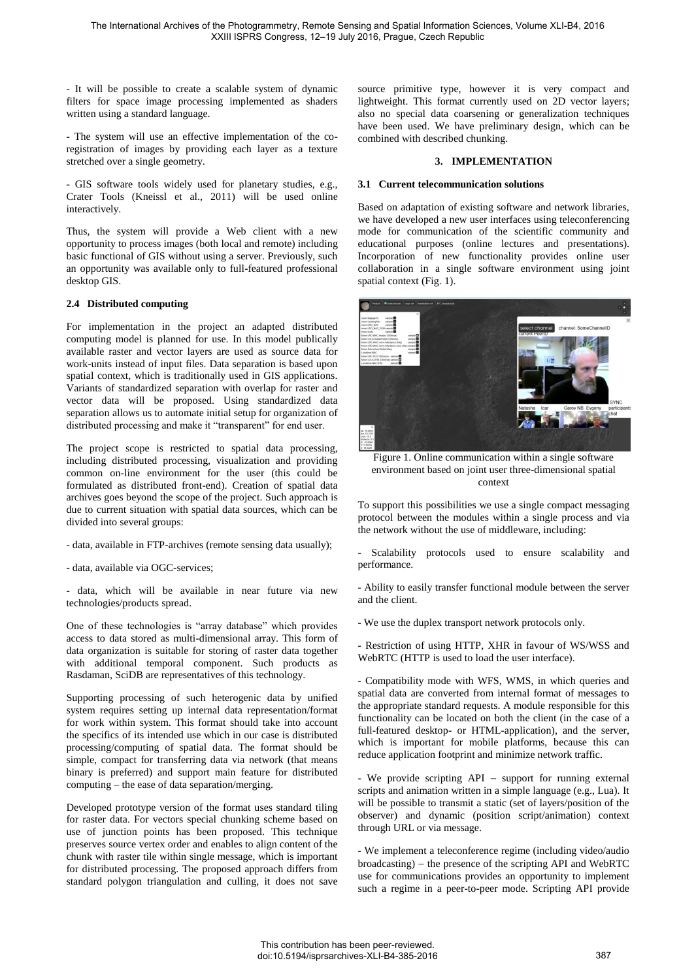- It will be possible to create a scalable system of dynamic filters for space image processing implemented as shaders written using a standard language.

- The system will use an effective implementation of the coregistration of images by providing each layer as a texture stretched over a single geometry.

- GIS software tools widely used for planetary studies, e.g., Crater Tools (Kneissl et al., 2011) will be used online interactively.

Thus, the system will provide a Web client with a new opportunity to process images (both local and remote) including basic functional of GIS without using a server. Previously, such an opportunity was available only to full-featured professional desktop GIS.

## **2.4 Distributed computing**

For implementation in the project an adapted distributed computing model is planned for use. In this model publically available raster and vector layers are used as source data for work-units instead of input files. Data separation is based upon spatial context, which is traditionally used in GIS applications. Variants of standardized separation with overlap for raster and vector data will be proposed. Using standardized data separation allows us to automate initial setup for organization of distributed processing and make it "transparent" for end user.

The project scope is restricted to spatial data processing, including distributed processing, visualization and providing common on-line environment for the user (this could be formulated as distributed front-end). Creation of spatial data archives goes beyond the scope of the project. Such approach is due to current situation with spatial data sources, which can be divided into several groups:

- data, available in FTP-archives (remote sensing data usually);
- data, available via OGC-services;

- data, which will be available in near future via new technologies/products spread.

One of these technologies is "array database" which provides access to data stored as multi-dimensional array. This form of data organization is suitable for storing of raster data together with additional temporal component. Such products as Rasdaman, SciDB are representatives of this technology.

Supporting processing of such heterogenic data by unified system requires setting up internal data representation/format for work within system. This format should take into account the specifics of its intended use which in our case is distributed processing/computing of spatial data. The format should be simple, compact for transferring data via network (that means binary is preferred) and support main feature for distributed computing – the ease of data separation/merging.

Developed prototype version of the format uses standard tiling for raster data. For vectors special chunking scheme based on use of junction points has been proposed. This technique preserves source vertex order and enables to align content of the chunk with raster tile within single message, which is important for distributed processing. The proposed approach differs from standard polygon triangulation and culling, it does not save

source primitive type, however it is very compact and lightweight. This format currently used on 2D vector layers; also no special data coarsening or generalization techniques have been used. We have preliminary design, which can be combined with described chunking.

#### **3. IMPLEMENTATION**

#### **3.1 Current telecommunication solutions**

Based on adaptation of existing software and network libraries, we have developed a new user interfaces using teleconferencing mode for communication of the scientific community and educational purposes (online lectures and presentations). Incorporation of new functionality provides online user collaboration in a single software environment using joint spatial context (Fig. 1).



Figure 1. Online communication within a single software environment based on joint user three-dimensional spatial context

To support this possibilities we use a single compact messaging protocol between the modules within a single process and via the network without the use of middleware, including:

- Scalability protocols used to ensure scalability and performance.

- Ability to easily transfer functional module between the server and the client.

- We use the duplex transport network protocols only.

- Restriction of using HTTP, XHR in favour of WS/WSS and WebRTC (HTTP is used to load the user interface).

- Compatibility mode with WFS, WMS, in which queries and spatial data are converted from internal format of messages to the appropriate standard requests. A module responsible for this functionality can be located on both the client (in the case of a full-featured desktop- or HTML-application), and the server, which is important for mobile platforms, because this can reduce application footprint and minimize network traffic.

- We provide scripting API - support for running external scripts and animation written in a simple language (e.g., Lua). It will be possible to transmit a static (set of layers/position of the observer) and dynamic (position script/animation) context through URL or via message.

- We implement a teleconference regime (including video/audio  $broadcasting$ ) – the presence of the scripting API and WebRTC use for communications provides an opportunity to implement such a regime in a peer-to-peer mode. Scripting API provide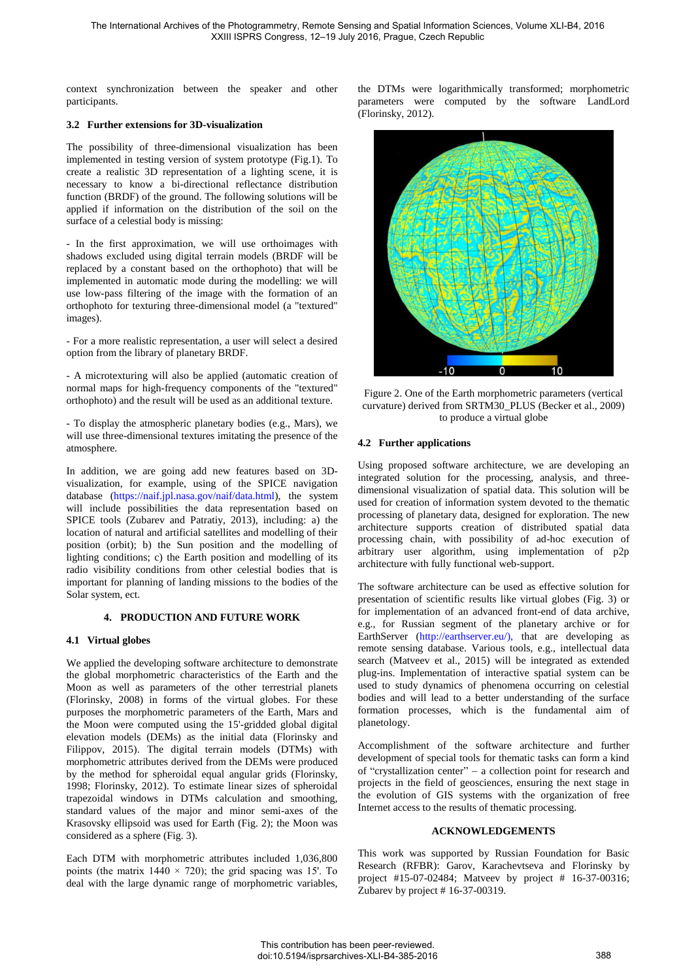context synchronization between the speaker and other participants.

## **3.2 Further extensions for 3D-visualization**

The possibility of three-dimensional visualization has been implemented in testing version of system prototype (Fig.1). To create a realistic 3D representation of a lighting scene, it is necessary to know a bi-directional reflectance distribution function (BRDF) of the ground. The following solutions will be applied if information on the distribution of the soil on the surface of a celestial body is missing:

- In the first approximation, we will use orthoimages with shadows excluded using digital terrain models (BRDF will be replaced by a constant based on the orthophoto) that will be implemented in automatic mode during the modelling: we will use low-pass filtering of the image with the formation of an orthophoto for texturing three-dimensional model (a "textured" images).

- For a more realistic representation, a user will select a desired option from the library of planetary BRDF.

- A microtexturing will also be applied (automatic creation of normal maps for high-frequency components of the "textured" orthophoto) and the result will be used as an additional texture.

- To display the atmospheric planetary bodies (e.g., Mars), we will use three-dimensional textures imitating the presence of the atmosphere.

In addition, we are going add new features based on 3Dvisualization, for example, using of the SPICE navigation database [\(https://naif.jpl.nasa.gov/naif/data.html\)](https://naif.jpl.nasa.gov/naif/data.html), the system will include possibilities the data representation based on SPICE tools (Zubarev and Patratiy, 2013), including: a) the location of natural and artificial satellites and modelling of their position (orbit); b) the Sun position and the modelling of lighting conditions; c) the Earth position and modelling of its radio visibility conditions from other celestial bodies that is important for planning of landing missions to the bodies of the Solar system, ect.

## **4. PRODUCTION AND FUTURE WORK**

## **4.1 Virtual globes**

We applied the developing software architecture to demonstrate the global morphometric characteristics of the Earth and the Moon as well as parameters of the other terrestrial planets (Florinsky, 2008) in forms of the virtual globes. For these purposes the morphometric parameters of the Earth, Mars and the Moon were computed using the 15'-gridded global digital elevation models (DEMs) as the initial data (Florinsky and Filippov, 2015). The digital terrain models (DTMs) with morphometric attributes derived from the DEMs were produced by the method for spheroidal equal angular grids (Florinsky, 1998; Florinsky, 2012). To estimate linear sizes of spheroidal trapezoidal windows in DTMs calculation and smoothing, standard values of the major and minor semi-axes of the Krasovsky ellipsoid was used for Earth (Fig. 2); the Moon was considered as a sphere (Fig. 3).

Each DTM with morphometric attributes included 1,036,800 points (the matrix  $1440 \times 720$ ); the grid spacing was 15'. To deal with the large dynamic range of morphometric variables,

the DTMs were logarithmically transformed; morphometric parameters were computed by the software LandLord (Florinsky, 2012).



Figure 2. One of the Earth morphometric parameters (vertical curvature) derived from SRTM30\_PLUS (Becker et al., 2009) to produce a virtual globe

#### **4.2 Further applications**

Using proposed software architecture, we are developing an integrated solution for the processing, analysis, and threedimensional visualization of spatial data. This solution will be used for creation of information system devoted to the thematic processing of planetary data, designed for exploration. The new architecture supports creation of distributed spatial data processing chain, with possibility of ad-hoc execution of arbitrary user algorithm, using implementation of p2p architecture with fully functional web-support.

The software architecture can be used as effective solution for presentation of scientific results like virtual globes (Fig. 3) or for implementation of an advanced front-end of data archive, e.g., for Russian segment of the planetary archive or for EarthServer [\(http://earthserver.eu/\),](http://earthserver.eu/) that are developing as remote sensing database. Various tools, e.g., intellectual data search (Matveev et al., 2015) will be integrated as extended plug-ins. Implementation of interactive spatial system can be used to study dynamics of phenomena occurring on celestial bodies and will lead to a better understanding of the surface formation processes, which is the fundamental aim of planetology.

Accomplishment of the software architecture and further development of special tools for thematic tasks can form a kind of "crystallization center" a collection point for research and projects in the field of geosciences, ensuring the next stage in the evolution of GIS systems with the organization of free Internet access to the results of thematic processing.

#### **ACKNOWLEDGEMENTS**

This work was supported by Russian Foundation for Basic Research (RFBR): Garov, Karachevtseva and Florinsky by project #15-07-02484; Matveev by project # 16-37-00316; Zubarev by project # 16-37-00319.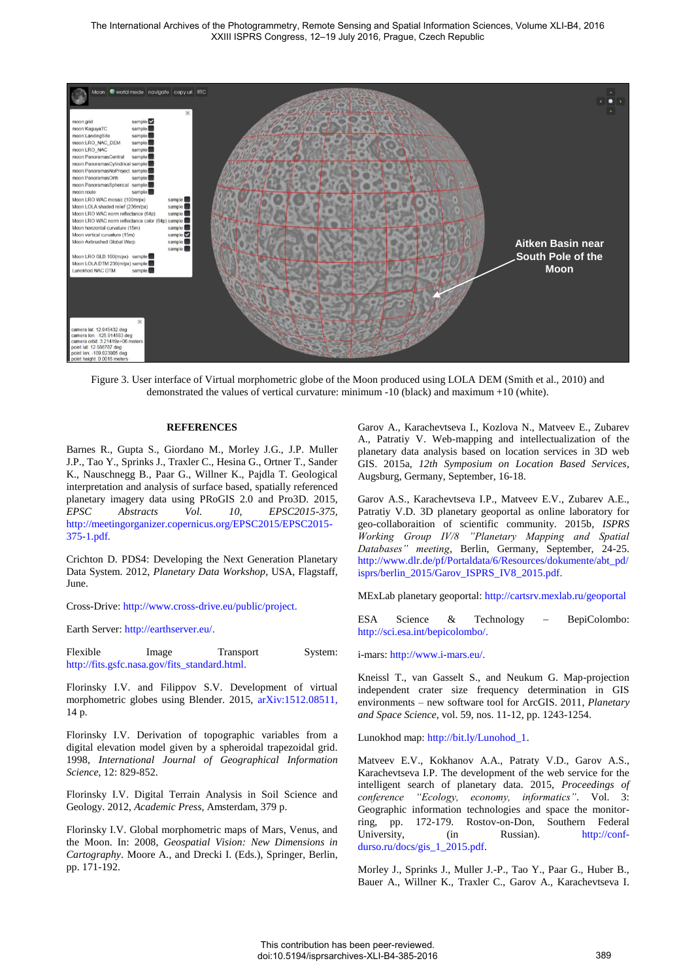

Figure 3. User interface of Virtual morphometric globe of the Moon produced using LOLA DEM (Smith et al., 2010) and demonstrated the values of vertical curvature: minimum -10 (black) and maximum +10 (white).

#### **REFERENCES**

Barnes R., Gupta S., Giordano M., Morley J.G., J.P. Muller J.P., Tao Y., Sprinks J., Traxler C., Hesina G., Ortner T., Sander K., Nauschnegg B., Paar G., Willner K., Pajdla T. Geological interpretation and analysis of surface based, spatially referenced planetary imagery data using PRoGIS 2.0 and Pro3D. 2015, *EPSC Abstracts Vol. 10, EPSC2015-375,* http://meetingorganizer.copernicus.org/EPSC2015/EPSC2015- 375-1.pdf.

Crichton D. PDS4: Developing the Next Generation Planetary Data System. 2012, *Planetary Data Workshop*, USA, Flagstaff, June.

Cross-Drive[: http://www.cross-drive.eu/public/project.](http://www.cross-drive.eu/public/project)

Earth Server: [http://earthserver.eu/.](http://earthserver.eu/)

Flexible Image Transport System: http://fits.gsfc.nasa.gov/fits\_standard.html.

Florinsky I.V. and Filippov S.V. Development of virtual morphometric globes using Blender. 2015, [arXiv:1512.08511,](http://arxiv.org/abs/1512.08511) 14 p.

Florinsky I.V. Derivation of topographic variables from a digital elevation model given by a spheroidal trapezoidal grid. 1998, *International Journal of Geographical Information Science*, 12: 829-852.

Florinsky I.V. Digital Terrain Analysis in Soil Science and Geology. 2012, *Academic Press*, Amsterdam, 379 p.

Florinsky I.V. Global morphometric maps of Mars, Venus, and the Moon. In: 2008, *Geospatial Vision: New Dimensions in Cartography*. Moore A., and Drecki I. (Eds.), Springer, Berlin, pp. 171-192.

Garov A., Karachevtseva I., Kozlova N., Matveev E., Zubarev A., Patratiy V. Web-mapping and intellectualization of the planetary data analysis based on location services in 3D web GIS. 2015a, *12th Symposium on Location Based Services*, Augsburg, Germany, September, 16-18.

Garov A.S., Karachevtseva I.P., Matveev E.V., Zubarev A.E., Patratiy V.D. 3D planetary geoportal as online laboratory for geo-collaboraition of scientific community. 2015b, *ISPRS Working Group IV/8 "Planetary Mapping and Spatial Databases" meeting*, Berlin, Germany, September, 24-25. [http://www.dlr.de/pf/Portaldata/6/Resources/dokumente/abt\\_pd/](http://www.dlr.de/pf/Portaldata/6/Resources/dokumente/abt_pd/isprs/berlin_2015/Garov_ISPRS_IV8_2015.pdf) [isprs/berlin\\_2015/Garov\\_ISPRS\\_IV8\\_2015.pdf.](http://www.dlr.de/pf/Portaldata/6/Resources/dokumente/abt_pd/isprs/berlin_2015/Garov_ISPRS_IV8_2015.pdf)

MExLab planetary geoportal: <http://cartsrv.mexlab.ru/geoportal>

[ESA Science & Technology](https://www.google.ru/url?sa=t&rct=j&q=&esrc=s&source=web&cd=1&ved=0ahUKEwj4_fWK75rMAhWEECwKHXJyBiYQFggeMAA&url=http%3A%2F%2Fsci.esa.int%2Fbepicolombo%2F&usg=AFQjCNHtBnm-ov1SVdESeWsK6vp84SPJhQ&bvm=bv.119745492,d.bGg) - BepiColombo: http://sci.esa.int/bepicolombo/.

i-mars: [http://www.i-mars.eu/.](http://www.i-mars.eu/)

Kneissl T., van Gasselt S., and Neukum G. Map-projection independent crater size frequency determination in GIS environments – new software tool for ArcGIS. 2011, *Planetary and Space Science*, vol. 59, nos. 11-12, pp. 1243-1254.

Lunokhod map: [http://bit.ly/Lunohod\\_1.](http://bit.ly/Lunohod_1)

Matveev E.V., Kokhanov A.A., Patraty V.D., Garov A.S., Karachevtseva I.P. The development of the web service for the intelligent search of planetary data. 2015, *Proceedings of conference "Ecology, economy, informatics"*. Vol. 3: Geographic information technologies and space the monitorring, pp. 172-179. Rostov-on-Don, Southern Federal University, (in Russian). [http://conf](http://conf-durso.ru/docs/gis_1_2015.pdf)[durso.ru/docs/gis\\_1\\_2015.pdf.](http://conf-durso.ru/docs/gis_1_2015.pdf) 

Morley J., Sprinks J., Muller J.-P., Tao Y., Paar G., Huber B., Bauer A., Willner K., Traxler C., Garov A., Karachevtseva I.